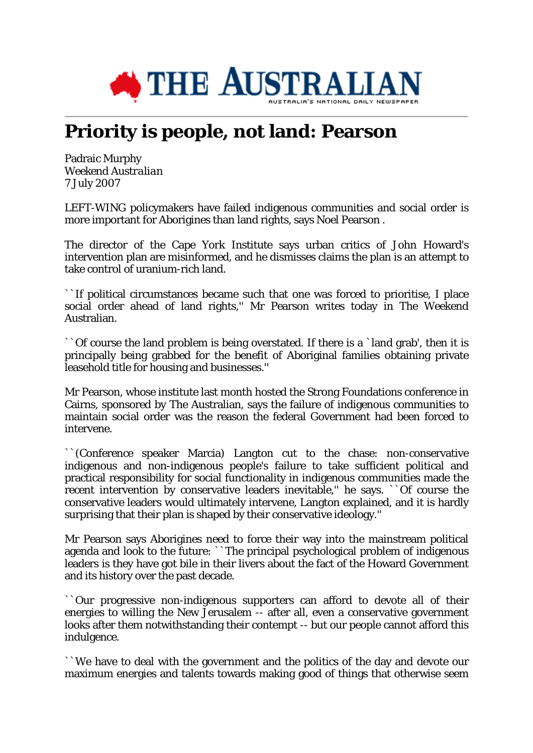

## **Priority is people, not land: Pearson**

Padraic Murphy *Weekend Australian* 7 July 2007

LEFT-WING policymakers have failed indigenous communities and social order is more important for Aborigines than land rights, says Noel Pearson .

The director of the Cape York Institute says urban critics of John Howard's intervention plan are misinformed, and he dismisses claims the plan is an attempt to take control of uranium-rich land.

``If political circumstances became such that one was forced to prioritise, I place social order ahead of land rights,'' Mr Pearson writes today in The Weekend Australian.

``Of course the land problem is being overstated. If there is a `land grab', then it is principally being grabbed for the benefit of Aboriginal families obtaining private leasehold title for housing and businesses.''

Mr Pearson, whose institute last month hosted the Strong Foundations conference in Cairns, sponsored by The Australian, says the failure of indigenous communities to maintain social order was the reason the federal Government had been forced to intervene.

``(Conference speaker Marcia) Langton cut to the chase: non-conservative indigenous and non-indigenous people's failure to take sufficient political and practical responsibility for social functionality in indigenous communities made the recent intervention by conservative leaders inevitable," he says. ``Of course the conservative leaders would ultimately intervene, Langton explained, and it is hardly surprising that their plan is shaped by their conservative ideology.''

Mr Pearson says Aborigines need to force their way into the mainstream political agenda and look to the future: ``The principal psychological problem of indigenous leaders is they have got bile in their livers about the fact of the Howard Government and its history over the past decade.

``Our progressive non-indigenous supporters can afford to devote all of their energies to willing the New Jerusalem -- after all, even a conservative government looks after them notwithstanding their contempt -- but our people cannot afford this indulgence.

``We have to deal with the government and the politics of the day and devote our maximum energies and talents towards making good of things that otherwise seem